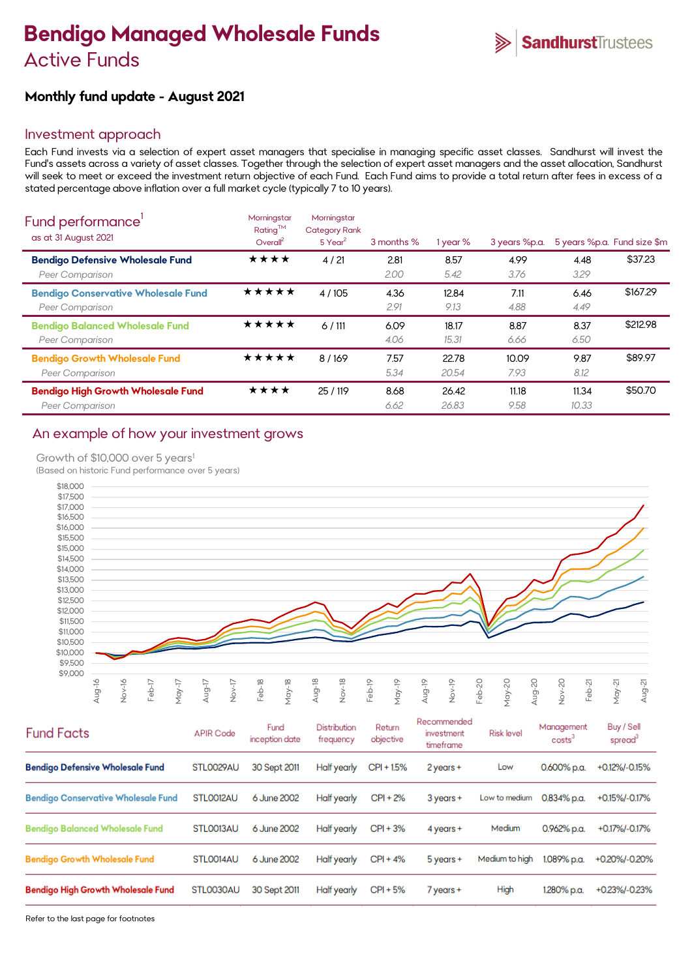# **Bendigo Managed Wholesale Funds** Active Funds

# **Monthly fund update - August 2021**

## Investment approach

Each Fund invests via a selection of expert asset managers that specialise in managing specific asset classes. Sandhurst will invest the Fund's assets across a variety of asset classes. Together through the selection of expert asset managers and the asset allocation, Sandhurst will seek to meet or exceed the investment return objective of each Fund. Each Fund aims to provide a total return after fees in excess of a stated percentage above inflation over a full market cycle (typically 7 to 10 years).

| Fund performance'<br>as at 31 August 2021                     | Morningstar<br>Rating™<br>Overall <sup>2</sup> | Morningstar<br><b>Category Rank</b><br>$5$ Year <sup>2</sup> | 3 months %   | 1 year %       | 3 years %p.a. |                | 5 years %p.a. Fund size \$m |
|---------------------------------------------------------------|------------------------------------------------|--------------------------------------------------------------|--------------|----------------|---------------|----------------|-----------------------------|
| <b>Bendigo Defensive Wholesale Fund</b><br>Peer Comparison    | ★★★★                                           | 4/21                                                         | 2.81<br>2.00 | 8.57<br>5.42   | 4.99<br>3.76  | 4.48<br>3.29   | \$37.23                     |
| <b>Bendigo Conservative Wholesale Fund</b><br>Peer Comparison | ★★★★★                                          | 4 / 105                                                      | 4.36<br>2.91 | 12.84<br>9.13  | 7.11<br>4.88  | 6.46<br>4.49   | \$167.29                    |
| <b>Bendigo Balanced Wholesale Fund</b><br>Peer Comparison     | ★★★★★                                          | 6/111                                                        | 6.09<br>4.06 | 18.17<br>15.31 | 8.87<br>6.66  | 8.37<br>6.50   | \$212.98                    |
| <b>Bendigo Growth Wholesale Fund</b><br>Peer Comparison       | ★★★★★                                          | 8/169                                                        | 7.57<br>5.34 | 22.78<br>20.54 | 10.09<br>7.93 | 9.87<br>8.12   | \$89.97                     |
| <b>Bendigo High Growth Wholesale Fund</b><br>Peer Comparison  | ★★★★                                           | 25/119                                                       | 8.68<br>6.62 | 26.42<br>26.83 | 11.18<br>9.58 | 11.34<br>10.33 | \$50.70                     |

# An example of how your investment grows

#### Growth of \$10,000 over 5 years<sup>1</sup>

(Based on historic Fund performance over 5 years)



| <b>Fund Facts</b>                          | <b>APIR Code</b> | Fund<br>inception date | Distribution<br>frequency | Return<br>objective | Recommended<br>investment<br>timeframe | <b>Risk level</b> | Management<br>costs <sup>3</sup> | Buy / Sell<br>spread <sup>3</sup> |
|--------------------------------------------|------------------|------------------------|---------------------------|---------------------|----------------------------------------|-------------------|----------------------------------|-----------------------------------|
| <b>Bendigo Defensive Wholesale Fund</b>    | STL0029AU        | 30 Sept 2011           | Half yearly               | $CPI + 1.5%$        | 2 years +                              | Low               | $0.600\%$ p.a.                   | +0.12%/-0.15%                     |
| <b>Bendigo Conservative Wholesale Fund</b> | STLO012AU        | 6 June 2002            | Half yearly               | $CPI + 2%$          | $3$ years +                            | Low to medium     | 0.834% p.a.                      | +0.15%/-0.17%                     |
| <b>Bendigo Balanced Wholesale Fund</b>     | STLO013AU        | 6 June 2002            | Half yearly               | $CPI + 3%$          | $4$ years $+$                          | Medium            | 0.962% p.a.                      | +0.17%/-0.17%                     |
| <b>Bendigo Growth Wholesale Fund</b>       | STLO014AU        | 6 June 2002            | Half yearly               | $CPI + 4%$          | $5$ years $+$                          | Medium to high    | 1.089% p.a.                      | +0.20%/-0.20%                     |
| <b>Bendigo High Growth Wholesale Fund</b>  | STL0030AU        | 30 Sept 2011           | Half yearly               | $CPI + 5%$          | 7 years +                              | High              | 1.280% p.a.                      | +0.23%/-0.23%                     |

Refer to the last page for footnotes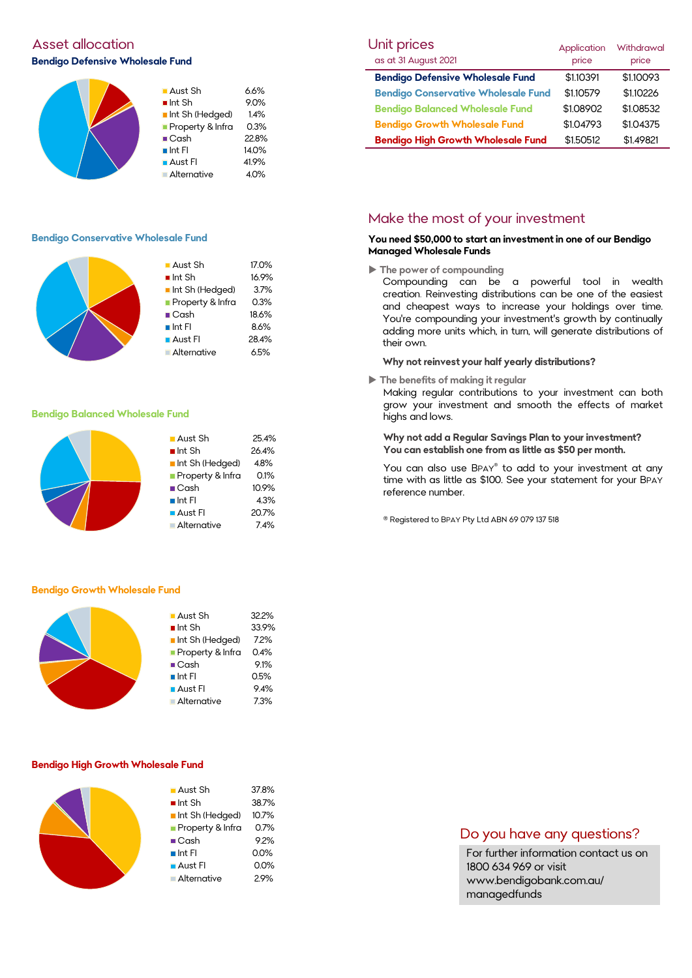# Asset allocation and the Unit prices of the Unit prices of the Unit prices of the Unit prices of Unit **Bendigo Defensive Wholesale Fund**



#### **Bendigo Conservative Wholesale Fund**



#### **Bendigo Balanced Wholesale Fund**

| $\blacksquare$ Aust Sh | 25.4% |
|------------------------|-------|
| $\blacksquare$ Int Sh  | 26.4% |
| Int Sh (Hedged)        | 4.8%  |
| Property & Infra       | 0.1%  |
| $\blacksquare$ Cash    | 10.9% |
| $\blacksquare$ Int Fl  | 4.3%  |
| Aust Fl                | 20.7% |
| <b>Alternative</b>     | 7.4%  |

#### **Bendigo Growth Wholesale Fund**



#### **Bendigo High Growth Wholesale Fund**

| $\blacksquare$ Aust Sh | 37.8% |
|------------------------|-------|
| $\blacksquare$ Int Sh  | 38.7% |
| Int Sh (Hedged)        | 10.7% |
| Property & Infra       | 0.7%  |
| $\blacksquare$ Cash    | 9.2%  |
| $\blacksquare$ Int FI  | 0.0%  |
| ■ Aust Fl              | 0.0%  |
| Alternative            | 2.9%  |
|                        |       |

| Unit prices                                | Application | <b>Withdrawal</b> |
|--------------------------------------------|-------------|-------------------|
| as at 31 August 2021                       | price       | price             |
| <b>Bendigo Defensive Wholesale Fund</b>    | \$1.10391   | \$1.10093         |
| <b>Bendigo Conservative Wholesale Fund</b> | \$1.10579   | \$1.10226         |
| <b>Bendigo Balanced Wholesale Fund</b>     | \$1.08902   | \$1.08532         |
| <b>Bendigo Growth Wholesale Fund</b>       | \$1.04793   | \$1.04375         |
| <b>Bendigo High Growth Wholesale Fund</b>  | \$1.50512   | \$1.49821         |

### Make the most of your investment

#### **You need \$50,000 to start an investment in one of our Bendigo Managed Wholesale Funds**

**The power of compounding**

Compounding can be a powerful tool in wealth creation. Reinvesting distributions can be one of the easiest and cheapest ways to increase your holdings over time. You're compounding your investment's growth by continually adding more units which, in turn, will generate distributions of their own.

#### **Why not reinvest your half yearly distributions?**

**The benefits of making it regular**

Making regular contributions to your investment can both grow your investment and smooth the effects of market highs and lows.

#### **Why not add a Regular Savings Plan to your investment? You can establish one from as little as \$50 per month.**

You can also use BPAY® to add to your investment at any time with as little as \$100. See your statement for your BPAY reference number.

® Registered to BPAY Pty Ltd ABN 69 079 137 518

### Do you have any questions?

For further information contact us on 1800 634 969 or visit www.bendigobank.com.au/ managedfunds